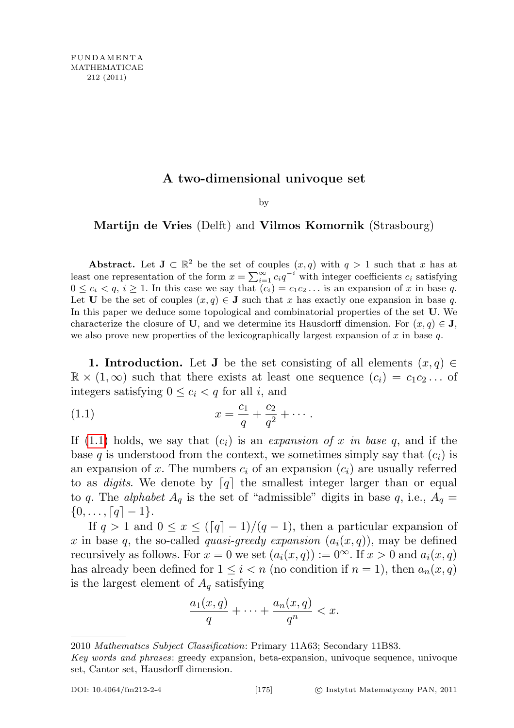## A two-dimensional univoque set

by

## Martijn de Vries (Delft) and Vilmos Komornik (Strasbourg)

Abstract. Let  $J \subset \mathbb{R}^2$  be the set of couples  $(x, q)$  with  $q > 1$  such that x has at least one representation of the form  $x = \sum_{i=1}^{\infty} c_i q^{-i}$  with integer coefficients  $c_i$  satisfying  $0 \leq c_i < q, i \geq 1$ . In this case we say that  $(c_i) = c_1 c_2 \dots$  is an expansion of x in base q. Let **U** be the set of couples  $(x, q) \in \mathbf{J}$  such that x has exactly one expansion in base q. In this paper we deduce some topological and combinatorial properties of the set U. We characterize the closure of U, and we determine its Hausdorff dimension. For  $(x, q) \in J$ , we also prove new properties of the lexicographically largest expansion of  $x$  in base  $q$ .

<span id="page-0-1"></span>1. Introduction. Let J be the set consisting of all elements  $(x, q) \in$  $\mathbb{R} \times (1,\infty)$  such that there exists at least one sequence  $(c_i) = c_1c_2 \ldots$  of integers satisfying  $0 \leq c_i < q$  for all i, and

<span id="page-0-0"></span>(1.1) 
$$
x = \frac{c_1}{q} + \frac{c_2}{q^2} + \cdots
$$

If [\(1.1\)](#page-0-0) holds, we say that  $(c_i)$  is an expansion of x in base q, and if the base q is understood from the context, we sometimes simply say that  $(c_i)$  is an expansion of x. The numbers  $c_i$  of an expansion  $(c_i)$  are usually referred to as *digits*. We denote by  $\lfloor q \rfloor$  the smallest integer larger than or equal to q. The alphabet  $A_q$  is the set of "admissible" digits in base q, i.e.,  $A_q =$  $\{0,\ldots,[q]-1\}.$ 

If  $q > 1$  and  $0 \le x \le (\lceil q \rceil - 1)/(q - 1)$ , then a particular expansion of x in base q, the so-called quasi-greedy expansion  $(a_i(x, q))$ , may be defined recursively as follows. For  $x = 0$  we set  $(a_i(x, q)) := 0^{\infty}$ . If  $x > 0$  and  $a_i(x, q)$ has already been defined for  $1 \leq i < n$  (no condition if  $n = 1$ ), then  $a_n(x, q)$ is the largest element of  $A<sub>q</sub>$  satisfying

$$
\frac{a_1(x,q)}{q} + \dots + \frac{a_n(x,q)}{q^n} < x.
$$

<sup>2010</sup> Mathematics Subject Classification: Primary 11A63; Secondary 11B83.

Key words and phrases: greedy expansion, beta-expansion, univoque sequence, univoque set, Cantor set, Hausdorff dimension.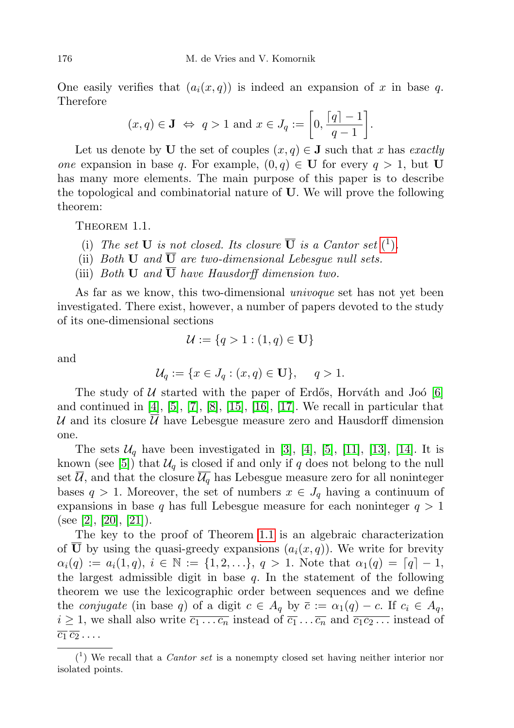One easily verifies that  $(a_i(x,q))$  is indeed an expansion of x in base q. Therefore

$$
(x,q) \in \mathbf{J} \Leftrightarrow q > 1
$$
 and  $x \in J_q := \left[0, \frac{\lceil q \rceil - 1}{q-1}\right].$ 

Let us denote by U the set of couples  $(x, q) \in J$  such that x has exactly *one* expansion in base q. For example,  $(0, q) \in U$  for every  $q > 1$ , but U has many more elements. The main purpose of this paper is to describe the topological and combinatorial nature of U. We will prove the following theorem:

<span id="page-1-1"></span>THEOREM 1.1.

- [\(](#page-1-0)i) The set **U** is not closed. Its closure  $\overline{U}$  is a Cantor set  $\binom{1}{k}$ .
- (ii) Both **U** and  $\overline{U}$  are two-dimensional Lebesgue null sets.
- (iii) Both  $U$  and  $\overline{U}$  have Hausdorff dimension two.

As far as we know, this two-dimensional *univoque* set has not yet been investigated. There exist, however, a number of papers devoted to the study of its one-dimensional sections

$$
\mathcal{U} := \{q > 1 : (1, q) \in \mathbf{U}\}\
$$

and

$$
\mathcal{U}_q := \{ x \in J_q : (x, q) \in \mathbf{U} \}, \quad q > 1.
$$

The study of  $U$  started with the paper of Erdős, Horváth and Joó [\[6\]](#page-14-0) and continued in [\[4\]](#page-14-1), [\[5\]](#page-14-2), [\[7\]](#page-14-3), [\[8\]](#page-14-4), [\[15\]](#page-14-5), [\[16\]](#page-14-6), [\[17\]](#page-14-7). We recall in particular that U and its closure  $\overline{\mathcal{U}}$  have Lebesgue measure zero and Hausdorff dimension one.

The sets  $\mathcal{U}_q$  have been investigated in [\[3\]](#page-14-8), [\[4\]](#page-14-1), [\[5\]](#page-14-2), [\[11\]](#page-14-9), [\[13\]](#page-14-10), [\[14\]](#page-14-11). It is known (see [\[5\]](#page-14-2)) that  $\mathcal{U}_q$  is closed if and only if q does not belong to the null set  $\mathcal{U}$ , and that the closure  $\mathcal{U}_q$  has Lebesgue measure zero for all noninteger bases  $q > 1$ . Moreover, the set of numbers  $x \in J_q$  having a continuum of expansions in base q has full Lebesgue measure for each noninteger  $q > 1$ (see [\[2\]](#page-14-12), [\[20\]](#page-14-13), [\[21\]](#page-14-14)).

The key to the proof of Theorem [1.1](#page-1-1) is an algebraic characterization of **U** by using the quasi-greedy expansions  $(a_i(x, q))$ . We write for brevity  $\alpha_i(q) := a_i(1,q), i \in \mathbb{N} := \{1,2,...\}, q > 1.$  Note that  $\alpha_1(q) = [q] - 1$ , the largest admissible digit in base  $q$ . In the statement of the following theorem we use the lexicographic order between sequences and we define the conjugate (in base q) of a digit  $c \in A_q$  by  $\overline{c} := \alpha_1(q) - c$ . If  $c_i \in A_q$ ,  $i \geq 1$ , we shall also write  $\overline{c_1 \dots c_n}$  instead of  $\overline{c_1 \dots c_n}$  and  $\overline{c_1 c_2 \dots}$  instead of  $\overline{c_1}\,\overline{c_2}\ldots$ 

<span id="page-1-2"></span><span id="page-1-0"></span> $(1)$  We recall that a *Cantor set* is a nonempty closed set having neither interior nor isolated points.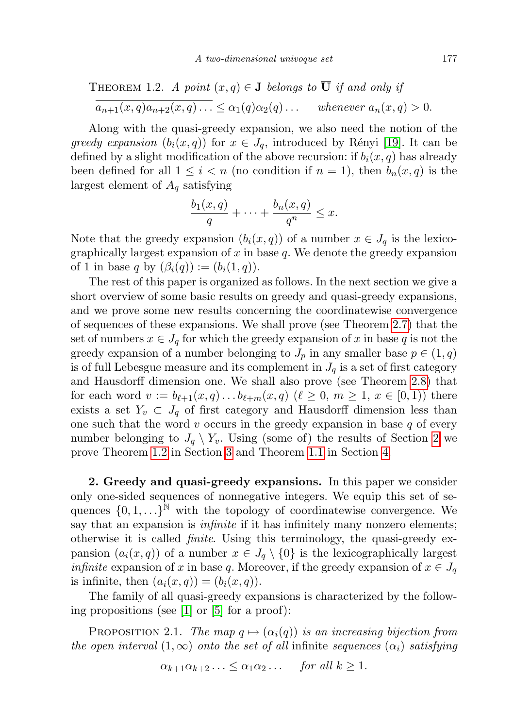THEOREM 1.2. A point 
$$
(x, q) \in \mathbf{J}
$$
 belongs to  $\overline{\mathbf{U}}$  if and only if  
\n
$$
\overline{a_{n+1}(x, q)a_{n+2}(x, q)...} \leq \alpha_1(q)\alpha_2(q)... \quad \text{whenever } a_n(x, q) > 0.
$$

Along with the quasi-greedy expansion, we also need the notion of the greedy expansion  $(b_i(x, q))$  for  $x \in J_q$ , introduced by Rényi [\[19\]](#page-14-15). It can be defined by a slight modification of the above recursion: if  $b_i(x, q)$  has already been defined for all  $1 \leq i < n$  (no condition if  $n = 1$ ), then  $b_n(x,q)$  is the largest element of  $A_q$  satisfying

$$
\frac{b_1(x,q)}{q} + \dots + \frac{b_n(x,q)}{q^n} \leq x.
$$

Note that the greedy expansion  $(b_i(x, q))$  of a number  $x \in J_q$  is the lexicographically largest expansion of  $x$  in base  $q$ . We denote the greedy expansion of 1 in base q by  $(\beta_i(q)) := (b_i(1,q))$ .

The rest of this paper is organized as follows. In the next section we give a short overview of some basic results on greedy and quasi-greedy expansions, and we prove some new results concerning the coordinatewise convergence of sequences of these expansions. We shall prove (see Theorem [2.7\)](#page-5-0) that the set of numbers  $x \in J_q$  for which the greedy expansion of x in base q is not the greedy expansion of a number belonging to  $J_p$  in any smaller base  $p \in (1, q)$ is of full Lebesgue measure and its complement in  $J_q$  is a set of first category and Hausdorff dimension one. We shall also prove (see Theorem [2.8\)](#page-6-0) that for each word  $v := b_{\ell+1}(x, q) \ldots b_{\ell+m}(x, q)$   $(\ell \geq 0, m \geq 1, x \in [0, 1))$  there exists a set  $Y_v \subset J_q$  of first category and Hausdorff dimension less than one such that the word  $v$  occurs in the greedy expansion in base  $q$  of every number belonging to  $J_q \setminus Y_v$ . Using (some of) the results of Section [2](#page-2-0) we prove Theorem [1.2](#page-1-2) in Section [3](#page-9-0) and Theorem [1.1](#page-1-1) in Section [4.](#page-12-0)

<span id="page-2-0"></span>2. Greedy and quasi-greedy expansions. In this paper we consider only one-sided sequences of nonnegative integers. We equip this set of sequences  $\{0, 1, \ldots\}^{\tilde{N}}$  with the topology of coordinatewise convergence. We say that an expansion is *infinite* if it has infinitely many nonzero elements; otherwise it is called finite. Using this terminology, the quasi-greedy expansion  $(a_i(x, q))$  of a number  $x \in J_q \setminus \{0\}$  is the lexicographically largest *infinite* expansion of x in base q. Moreover, if the greedy expansion of  $x \in J_q$ is infinite, then  $(a_i(x,q)) = (b_i(x,q)).$ 

The family of all quasi-greedy expansions is characterized by the following propositions (see [\[1\]](#page-14-16) or [\[5\]](#page-14-2) for a proof):

<span id="page-2-2"></span><span id="page-2-1"></span>PROPOSITION 2.1. The map  $q \mapsto (\alpha_i(q))$  is an increasing bijection from the open interval  $(1,\infty)$  onto the set of all infinite sequences  $(\alpha_i)$  satisfying

$$
\alpha_{k+1}\alpha_{k+2}\ldots \leq \alpha_1\alpha_2\ldots \quad \text{for all } k \geq 1.
$$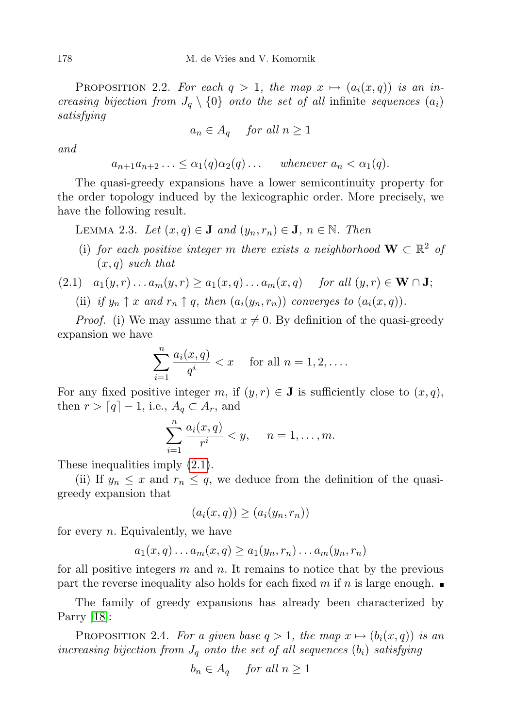PROPOSITION 2.2. For each  $q > 1$ , the map  $x \mapsto (a_i(x,q))$  is an increasing bijection from  $J_q \setminus \{0\}$  onto the set of all infinite sequences  $(a_i)$ satisfying

$$
a_n \in A_q \quad \text{ for all } n \ge 1
$$

and

$$
a_{n+1}a_{n+2}\ldots \leq \alpha_1(q)\alpha_2(q)\ldots \quad \text{ whenever } a_n < \alpha_1(q).
$$

The quasi-greedy expansions have a lower semicontinuity property for the order topology induced by the lexicographic order. More precisely, we have the following result.

<span id="page-3-1"></span>LEMMA 2.3. Let  $(x, q) \in J$  and  $(y_n, r_n) \in J$ ,  $n \in \mathbb{N}$ . Then

(i) for each positive integer m there exists a neighborhood  $\mathbf{W} \subset \mathbb{R}^2$  of  $(x, q)$  such that

<span id="page-3-0"></span>
$$
(2.1) \quad a_1(y,r)\dots a_m(y,r) \ge a_1(x,q)\dots a_m(x,q) \quad \text{for all } (y,r) \in \mathbf{W} \cap \mathbf{J};
$$

(ii) if  $y_n \uparrow x$  and  $r_n \uparrow q$ , then  $(a_i(y_n, r_n))$  converges to  $(a_i(x, q))$ .

*Proof.* (i) We may assume that  $x \neq 0$ . By definition of the quasi-greedy expansion we have

$$
\sum_{i=1}^{n} \frac{a_i(x,q)}{q^i} < x \quad \text{for all } n = 1, 2, \dots
$$

For any fixed positive integer m, if  $(y, r) \in J$  is sufficiently close to  $(x, q)$ , then  $r > [q] - 1$ , i.e.,  $A_q \subset A_r$ , and

$$
\sum_{i=1}^n \frac{a_i(x,q)}{r^i} < y, \quad n = 1, \dots, m.
$$

These inequalities imply  $(2.1)$ .

(ii) If  $y_n \leq x$  and  $r_n \leq q$ , we deduce from the definition of the quasigreedy expansion that

$$
(a_i(x,q)) \ge (a_i(y_n,r_n))
$$

for every  $n$ . Equivalently, we have

$$
a_1(x,q)\dots a_m(x,q)\geq a_1(y_n,r_n)\dots a_m(y_n,r_n)
$$

for all positive integers  $m$  and  $n$ . It remains to notice that by the previous part the reverse inequality also holds for each fixed m if n is large enough.  $\blacksquare$ 

The family of greedy expansions has already been characterized by Parry [\[18\]](#page-14-17):

<span id="page-3-2"></span>PROPOSITION 2.4. For a given base  $q > 1$ , the map  $x \mapsto (b_i(x,q))$  is an increasing bijection from  $J_q$  onto the set of all sequences  $(b_i)$  satisfying

$$
b_n \in A_q \quad \text{ for all } n \ge 1
$$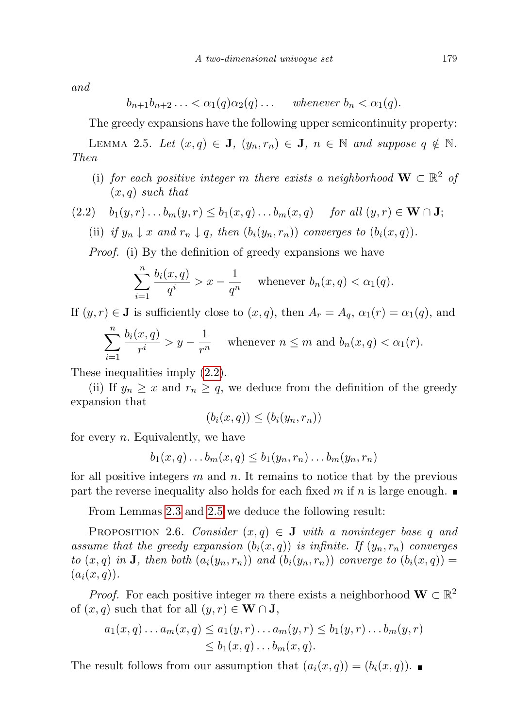and

$$
b_{n+1}b_{n+2}\ldots < \alpha_1(q)\alpha_2(q)\ldots \quad \text{ whenever } b_n < \alpha_1(q).
$$

The greedy expansions have the following upper semicontinuity property:

<span id="page-4-1"></span>LEMMA 2.5. Let  $(x, q) \in J$ ,  $(y_n, r_n) \in J$ ,  $n \in \mathbb{N}$  and suppose  $q \notin \mathbb{N}$ . Then

(i) for each positive integer m there exists a neighborhood  $\mathbf{W} \subset \mathbb{R}^2$  of  $(x, q)$  such that

<span id="page-4-0"></span>(2.2) 
$$
b_1(y,r) \tldots b_m(y,r) \leq b_1(x,q) \tldots b_m(x,q)
$$
 for all  $(y,r) \in \mathbf{W} \cap \mathbf{J}$ ;  
\n(ii) if  $y_n \downarrow x$  and  $r_n \downarrow q$ , then  $(b_i(y_n, r_n))$  converges to  $(b_i(x,q))$ .

Proof. (i) By the definition of greedy expansions we have

$$
\sum_{i=1}^{n} \frac{b_i(x,q)}{q^i} > x - \frac{1}{q^n} \quad \text{whenever } b_n(x,q) < \alpha_1(q).
$$

If  $(y, r) \in J$  is sufficiently close to  $(x, q)$ , then  $A_r = A_q$ ,  $\alpha_1(r) = \alpha_1(q)$ , and

$$
\sum_{i=1}^{n} \frac{b_i(x,q)}{r^i} > y - \frac{1}{r^n}
$$
 whenever  $n \le m$  and  $b_n(x,q) < \alpha_1(r)$ .

These inequalities imply [\(2.2\)](#page-4-0).

(ii) If  $y_n \geq x$  and  $r_n \geq q$ , we deduce from the definition of the greedy expansion that

$$
(b_i(x,q)) \leq (b_i(y_n,r_n))
$$

for every  $n$ . Equivalently, we have

$$
b_1(x,q)\dots b_m(x,q)\leq b_1(y_n,r_n)\dots b_m(y_n,r_n)
$$

for all positive integers  $m$  and  $n$ . It remains to notice that by the previous part the reverse inequality also holds for each fixed m if n is large enough.

From Lemmas [2.3](#page-3-1) and [2.5](#page-4-1) we deduce the following result:

PROPOSITION 2.6. Consider  $(x, q) \in J$  with a noninteger base q and assume that the greedy expansion  $(b_i(x,q))$  is infinite. If  $(y_n, r_n)$  converges to  $(x, q)$  in **J**, then both  $(a_i(y_n, r_n))$  and  $(b_i(y_n, r_n))$  converge to  $(b_i(x, q)) =$  $(a_i(x, q)).$ 

*Proof.* For each positive integer m there exists a neighborhood  $\mathbf{W} \subset \mathbb{R}^2$ of  $(x, q)$  such that for all  $(y, r) \in W \cap J$ ,

$$
a_1(x,q)\dots a_m(x,q) \le a_1(y,r)\dots a_m(y,r) \le b_1(y,r)\dots b_m(y,r)
$$
  
\$\le b\_1(x,q)\dots b\_m(x,q).

The result follows from our assumption that  $(a_i(x,q)) = (b_i(x,q))$ .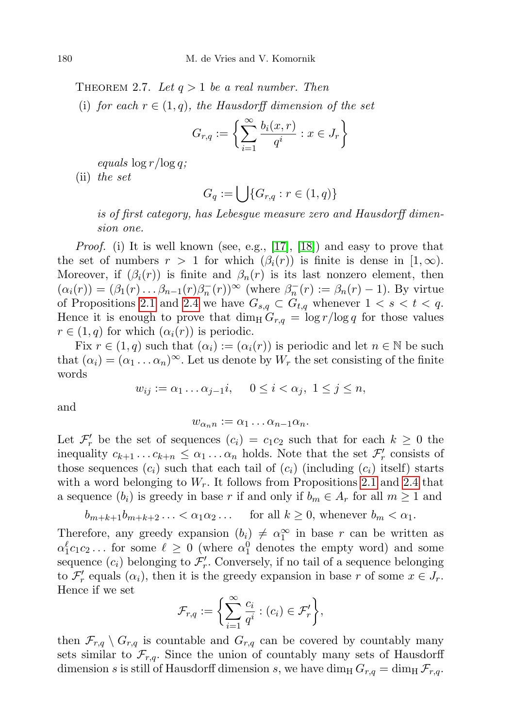<span id="page-5-0"></span>THEOREM 2.7. Let  $q > 1$  be a real number. Then

(i) for each  $r \in (1,q)$ , the Hausdorff dimension of the set

$$
G_{r,q} := \left\{ \sum_{i=1}^{\infty} \frac{b_i(x,r)}{q^i} : x \in J_r \right\}
$$

equals  $\log r / \log q$ ;

(ii) the set

$$
G_q := \bigcup \{ G_{r,q} : r \in (1,q) \}
$$

is of first category, has Lebesgue measure zero and Hausdorff dimension one.

*Proof.* (i) It is well known (see, e.g.,  $[17]$ ,  $[18]$ ) and easy to prove that the set of numbers  $r > 1$  for which  $(\beta_i(r))$  is finite is dense in  $[1, \infty)$ . Moreover, if  $(\beta_i(r))$  is finite and  $\beta_n(r)$  is its last nonzero element, then  $(\alpha_i(r)) = (\beta_1(r) \dots \beta_{n-1}(r) \beta_n^-(r))^{\infty}$  (where  $\beta_n^-(r) := \beta_n(r) - 1$ ). By virtue of Propositions [2.1](#page-2-1) and [2.4](#page-3-2) we have  $G_{s,q} \subset G_{t,q}$  whenever  $1 \lt s \lt t \lt q$ . Hence it is enough to prove that  $\dim_{\text{H}} G_{r,q} = \log r / \log q$  for those values  $r \in (1,q)$  for which  $(\alpha_i(r))$  is periodic.

Fix  $r \in (1, q)$  such that  $(\alpha_i) := (\alpha_i(r))$  is periodic and let  $n \in \mathbb{N}$  be such that  $(\alpha_i) = (\alpha_1 \dots \alpha_n)^\infty$ . Let us denote by  $W_r$  the set consisting of the finite words

$$
w_{ij} := \alpha_1 \dots \alpha_{j-1} i, \quad 0 \le i < \alpha_j, \ 1 \le j \le n,
$$

and

$$
w_{\alpha_n n} := \alpha_1 \dots \alpha_{n-1} \alpha_n.
$$

Let  $\mathcal{F}'_r$  be the set of sequences  $(c_i) = c_1 c_2$  such that for each  $k \geq 0$  the inequality  $c_{k+1} \ldots c_{k+n} \leq \alpha_1 \ldots \alpha_n$  holds. Note that the set  $\mathcal{F}'_r$  consists of those sequences  $(c_i)$  such that each tail of  $(c_i)$  (including  $(c_i)$  itself) starts with a word belonging to  $W_r$ . It follows from Propositions [2.1](#page-2-1) and [2.4](#page-3-2) that a sequence  $(b_i)$  is greedy in base r if and only if  $b_m \in A_r$  for all  $m \geq 1$  and

$$
b_{m+k+1}b_{m+k+2}\ldots < \alpha_1\alpha_2\ldots
$$
 for all  $k \ge 0$ , whenever  $b_m < \alpha_1$ .

Therefore, any greedy expansion  $(b_i) \neq \alpha_1^{\infty}$  in base r can be written as  $\alpha_1^{\ell}c_1c_2...$  for some  $\ell \geq 0$  (where  $\alpha_1^0$  denotes the empty word) and some sequence  $(c_i)$  belonging to  $\mathcal{F}'_r$ . Conversely, if no tail of a sequence belonging to  $\mathcal{F}'_r$  equals  $(\alpha_i)$ , then it is the greedy expansion in base r of some  $x \in J_r$ . Hence if we set

$$
\mathcal{F}_{r,q} := \bigg\{\sum_{i=1}^{\infty} \frac{c_i}{q^i} : (c_i) \in \mathcal{F}'_r\bigg\},\
$$

then  $\mathcal{F}_{r,q} \setminus G_{r,q}$  is countable and  $G_{r,q}$  can be covered by countably many sets similar to  $\mathcal{F}_{r,q}$ . Since the union of countably many sets of Hausdorff dimension s is still of Hausdorff dimension s, we have dim<sub>H</sub>  $G_{r,q} = \dim_\text{H} \mathcal{F}_{r,q}$ .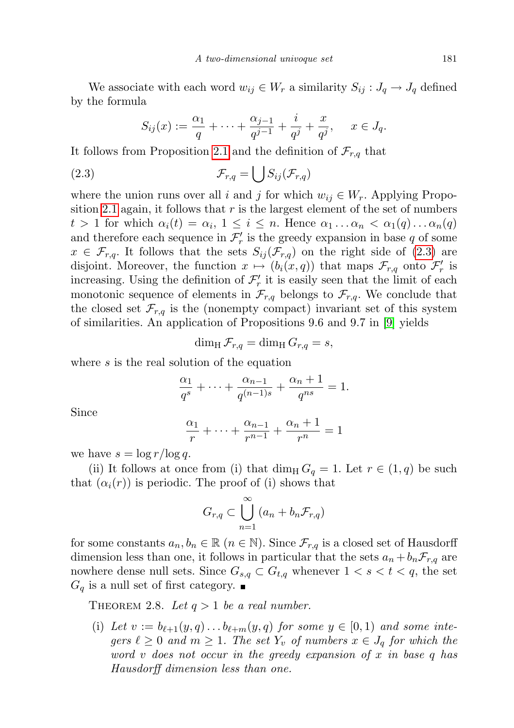We associate with each word  $w_{ij} \in W_r$  a similarity  $S_{ij}: J_q \to J_q$  defined by the formula

<span id="page-6-1"></span>
$$
S_{ij}(x) := \frac{\alpha_1}{q} + \dots + \frac{\alpha_{j-1}}{q^{j-1}} + \frac{i}{q^j} + \frac{x}{q^j}, \quad x \in J_q.
$$

It follows from Proposition [2.1](#page-2-1) and the definition of  $\mathcal{F}_{r,q}$  that

$$
(2.3) \t\t \mathcal{F}_{r,q} = \bigcup S_{ij}(\mathcal{F}_{r,q})
$$

where the union runs over all i and j for which  $w_{ij} \in W_r$ . Applying Propo-sition [2.1](#page-2-1) again, it follows that  $r$  is the largest element of the set of numbers  $t > 1$  for which  $\alpha_i(t) = \alpha_i, 1 \leq i \leq n$ . Hence  $\alpha_1 \dots \alpha_n < \alpha_1(q) \dots \alpha_n(q)$ and therefore each sequence in  $\mathcal{F}'_r$  is the greedy expansion in base  $q$  of some  $x \in \mathcal{F}_{r,q}$ . It follows that the sets  $S_{ij}(\mathcal{F}_{r,q})$  on the right side of [\(2.3\)](#page-6-1) are disjoint. Moreover, the function  $x \mapsto (b_i(x,q))$  that maps  $\mathcal{F}_{r,q}$  onto  $\mathcal{F}'_r$  is increasing. Using the definition of  $\mathcal{F}'_r$  it is easily seen that the limit of each monotonic sequence of elements in  $\mathcal{F}_{r,q}$  belongs to  $\mathcal{F}_{r,q}$ . We conclude that the closed set  $\mathcal{F}_{r,q}$  is the (nonempty compact) invariant set of this system of similarities. An application of Propositions 9.6 and 9.7 in [\[9\]](#page-14-18) yields

$$
\dim_{\mathrm{H}} \mathcal{F}_{r,q} = \dim_{\mathrm{H}} G_{r,q} = s,
$$

where s is the real solution of the equation

$$
\frac{\alpha_1}{q^s} + \dots + \frac{\alpha_{n-1}}{q^{(n-1)s}} + \frac{\alpha_n + 1}{q^{ns}} = 1.
$$

Since

$$
\frac{\alpha_1}{r} + \dots + \frac{\alpha_{n-1}}{r^{n-1}} + \frac{\alpha_n + 1}{r^n} = 1
$$

we have  $s = \log r / \log q$ .

(ii) It follows at once from (i) that  $\dim_{\rm H} G_q = 1$ . Let  $r \in (1,q)$  be such that  $(\alpha_i(r))$  is periodic. The proof of (i) shows that

$$
G_{r,q} \subset \bigcup_{n=1}^{\infty} (a_n + b_n \mathcal{F}_{r,q})
$$

for some constants  $a_n, b_n \in \mathbb{R}$   $(n \in \mathbb{N})$ . Since  $\mathcal{F}_{r,q}$  is a closed set of Hausdorff dimension less than one, it follows in particular that the sets  $a_n + b_n \mathcal{F}_{r,q}$  are nowhere dense null sets. Since  $G_{s,q} \subset G_{t,q}$  whenever  $1 < s < t < q$ , the set  $G_q$  is a null set of first category.

<span id="page-6-0"></span>THEOREM 2.8. Let  $q > 1$  be a real number.

(i) Let  $v := b_{\ell+1}(y, q) \ldots b_{\ell+m}(y, q)$  for some  $y \in [0, 1)$  and some integers  $\ell \geq 0$  and  $m \geq 1$ . The set  $Y_v$  of numbers  $x \in J_q$  for which the word v does not occur in the greedy expansion of x in base q has Hausdorff dimension less than one.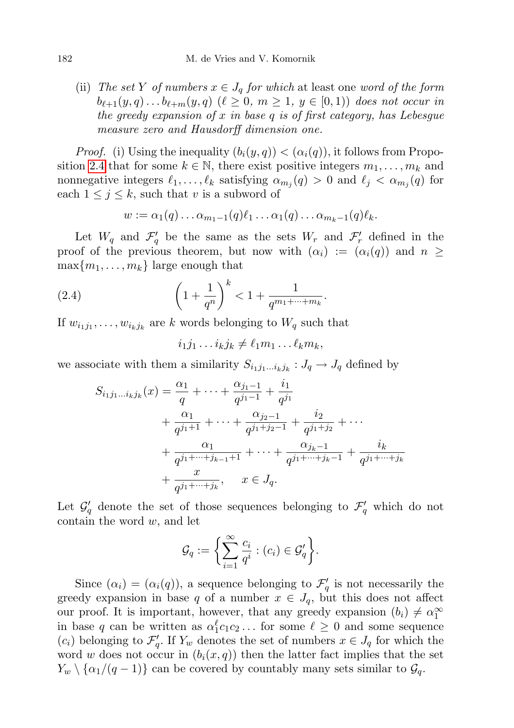(ii) The set Y of numbers  $x \in J_q$  for which at least one word of the form  $b_{\ell+1}(y, q) \ldots b_{\ell+m}(y, q)$   $(\ell \geq 0, m \geq 1, y \in [0, 1))$  does not occur in the greedy expansion of x in base q is of first category, has Lebesgue measure zero and Hausdorff dimension one.

*Proof.* (i) Using the inequality  $(b_i(y, q)) < (\alpha_i(q))$ , it follows from Propo-sition [2.4](#page-3-2) that for some  $k \in \mathbb{N}$ , there exist positive integers  $m_1, \ldots, m_k$  and nonnegative integers  $\ell_1, \ldots, \ell_k$  satisfying  $\alpha_{m_j}(q) > 0$  and  $\ell_j < \alpha_{m_j}(q)$  for each  $1 \leq j \leq k$ , such that v is a subword of

$$
w := \alpha_1(q) \dots \alpha_{m_1-1}(q) \ell_1 \dots \alpha_1(q) \dots \alpha_{m_k-1}(q) \ell_k.
$$

Let  $W_q$  and  $\mathcal{F}'_q$  be the same as the sets  $W_r$  and  $\mathcal{F}'_r$  defined in the proof of the previous theorem, but now with  $(\alpha_i) := (\alpha_i(q))$  and  $n \geq$  $\max\{m_1, \ldots, m_k\}$  large enough that

(2.4) 
$$
\left(1 + \frac{1}{q^n}\right)^k < 1 + \frac{1}{q^{m_1 + \dots + m_k}}.
$$

If  $w_{i_1j_1}, \ldots, w_{i_kj_k}$  are k words belonging to  $W_q$  such that

<span id="page-7-0"></span> $i_1 j_1 \ldots i_k j_k \neq \ell_1 m_1 \ldots \ell_k m_k,$ 

we associate with them a similarity  $S_{i_1j_1...i_kj_k}: J_q \to J_q$  defined by

$$
S_{i_1j_1...i_kj_k}(x) = \frac{\alpha_1}{q} + \dots + \frac{\alpha_{j_1-1}}{q^{j_1-1}} + \frac{i_1}{q^{j_1}} + \frac{\alpha_1}{q^{j_1+1}} + \dots + \frac{\alpha_{j_2-1}}{q^{j_1+j_2-1}} + \frac{i_2}{q^{j_1+j_2}} + \dots + \frac{\alpha_1}{q^{j_1+...+j_{k-1}+1}} + \dots + \frac{\alpha_{j_k-1}}{q^{j_1+...+j_k-1}} + \frac{i_k}{q^{j_1+...+j_k}} + \frac{x}{q^{j_1+...+j_k}}, \quad x \in J_q.
$$

Let  $\mathcal{G}'_q$  denote the set of those sequences belonging to  $\mathcal{F}'_q$  which do not contain the word  $w$ , and let

$$
\mathcal{G}_q := \bigg\{ \sum_{i=1}^{\infty} \frac{c_i}{q^i} : (c_i) \in \mathcal{G}'_q \bigg\}.
$$

Since  $(\alpha_i) = (\alpha_i(q))$ , a sequence belonging to  $\mathcal{F}'_q$  is not necessarily the greedy expansion in base q of a number  $x \in J_q$ , but this does not affect our proof. It is important, however, that any greedy expansion  $(b_i) \neq \alpha_1^{\infty}$ in base q can be written as  $\alpha_1^{\ell} c_1 c_2 \dots$  for some  $\ell \geq 0$  and some sequence  $(c_i)$  belonging to  $\mathcal{F}'_q$ . If  $Y_w$  denotes the set of numbers  $x \in J_q$  for which the word w does not occur in  $(b_i(x, q))$  then the latter fact implies that the set  $Y_w \setminus {\alpha_1/(q-1)}$  can be covered by countably many sets similar to  $\mathcal{G}_q$ .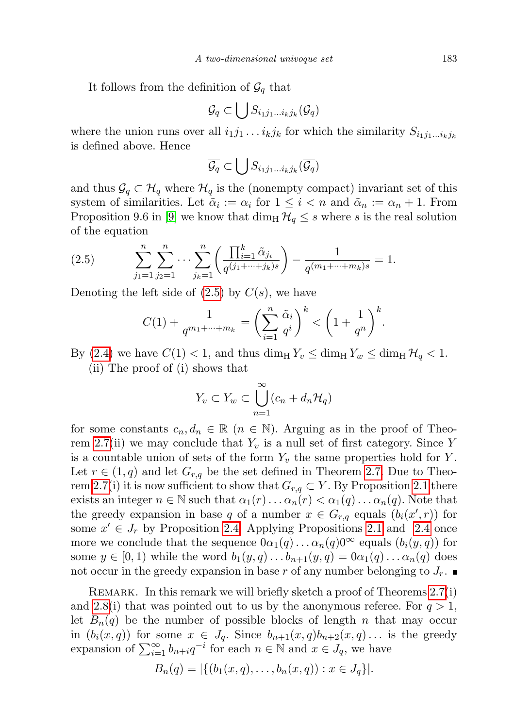It follows from the definition of  $\mathcal{G}_q$  that

$$
\mathcal{G}_q \subset \bigcup S_{i_1 j_1 \dots i_k j_k}(\mathcal{G}_q)
$$

where the union runs over all  $i_1j_1 \ldots i_kj_k$  for which the similarity  $S_{i_1j_1\ldots i_kj_k}$ is defined above. Hence

$$
\overline{\mathcal{G}_q} \subset \bigcup S_{i_1 j_1 \dots i_k j_k}(\overline{\mathcal{G}_q})
$$

and thus  $\mathcal{G}_q \subset \mathcal{H}_q$  where  $\mathcal{H}_q$  is the (nonempty compact) invariant set of this system of similarities. Let  $\tilde{\alpha}_i := \alpha_i$  for  $1 \leq i < n$  and  $\tilde{\alpha}_n := \alpha_n + 1$ . From Proposition 9.6 in [\[9\]](#page-14-18) we know that  $\dim_H \mathcal{H}_q \leq s$  where s is the real solution of the equation

(2.5) 
$$
\sum_{j_1=1}^n \sum_{j_2=1}^n \cdots \sum_{j_k=1}^n \left( \frac{\prod_{i=1}^k \tilde{\alpha}_{j_i}}{q^{(j_1+\cdots+j_k)s}} \right) - \frac{1}{q^{(m_1+\cdots+m_k)s}} = 1.
$$

Denoting the left side of  $(2.5)$  by  $C(s)$ , we have

<span id="page-8-0"></span>
$$
C(1) + \frac{1}{q^{m_1 + \dots + m_k}} = \left(\sum_{i=1}^n \frac{\tilde{\alpha}_i}{q^i}\right)^k < \left(1 + \frac{1}{q^n}\right)^k.
$$

By [\(2.4\)](#page-7-0) we have  $C(1) < 1$ , and thus  $\dim_{\text{H}} Y_v \leq \dim_{\text{H}} Y_w \leq \dim_{\text{H}} \mathcal{H}_q < 1$ . (ii) The proof of (i) shows that

$$
Y_v \subset Y_w \subset \bigcup_{n=1}^{\infty} (c_n + d_n \mathcal{H}_q)
$$

for some constants  $c_n, d_n \in \mathbb{R}$   $(n \in \mathbb{N})$ . Arguing as in the proof of Theo-rem [2.7\(](#page-5-0)ii) we may conclude that  $Y_v$  is a null set of first category. Since Y is a countable union of sets of the form  $Y_v$  the same properties hold for Y. Let  $r \in (1,q)$  and let  $G_{r,q}$  be the set defined in Theorem [2.7.](#page-5-0) Due to Theo-rem [2.7\(](#page-5-0)i) it is now sufficient to show that  $G_{r,q} \subset Y$ . By Proposition [2.1](#page-2-1) there exists an integer  $n \in \mathbb{N}$  such that  $\alpha_1(r) \dots \alpha_n(r) < \alpha_1(q) \dots \alpha_n(q)$ . Note that the greedy expansion in base q of a number  $x \in G_{r,q}$  equals  $(b_i(x', r))$  for some  $x' \in J_r$  by Proposition [2.4.](#page-3-2) Applying Propositions [2.1](#page-2-1) and [2.4](#page-3-2) once more we conclude that the sequence  $0\alpha_1(q)\dots\alpha_n(q)0^{\infty}$  equals  $(b_i(y,q))$  for some  $y \in [0,1)$  while the word  $b_1(y,q) \dots b_{n+1}(y,q) = 0 \alpha_1(q) \dots \alpha_n(q)$  does not occur in the greedy expansion in base r of any number belonging to  $J_r$ .

Remark. In this remark we will briefly sketch a proof of Theorems [2.7\(](#page-5-0)i) and [2.8\(](#page-6-0)i) that was pointed out to us by the anonymous referee. For  $q > 1$ , let  $B_n(q)$  be the number of possible blocks of length n that may occur in  $(b_i(x,q))$  for some  $x \in J_q$ . Since  $b_{n+1}(x,q)b_{n+2}(x,q)$ ... is the greedy expansion of  $\sum_{i=1}^{\infty} b_{n+i}q^{-i}$  for each  $n \in \mathbb{N}$  and  $x \in J_q$ , we have

$$
B_n(q) = |\{(b_1(x, q), \dots, b_n(x, q)) : x \in J_q\}|.
$$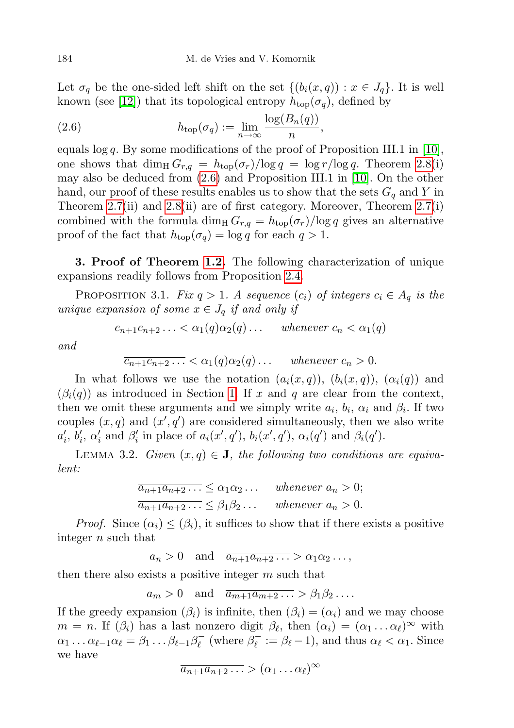Let  $\sigma_q$  be the one-sided left shift on the set  $\{(b_i(x,q)) : x \in J_q\}$ . It is well known (see [\[12\]](#page-14-19)) that its topological entropy  $h_{\text{top}}(\sigma_q)$ , defined by

<span id="page-9-1"></span>(2.6) 
$$
h_{\text{top}}(\sigma_q) := \lim_{n \to \infty} \frac{\log(B_n(q))}{n},
$$

equals  $\log q$ . By some modifications of the proof of Proposition III.1 in [\[10\]](#page-14-20), one shows that  $\dim_{\text{H}} G_{r,q} = h_{\text{top}}(\sigma_r)/\log q = \log r/\log q$ . Theorem [2.8\(](#page-6-0)i) may also be deduced from [\(2.6\)](#page-9-1) and Proposition III.1 in [\[10\]](#page-14-20). On the other hand, our proof of these results enables us to show that the sets  $G_q$  and Y in Theorem [2.7\(](#page-5-0)ii) and [2.8\(](#page-6-0)ii) are of first category. Moreover, Theorem [2.7\(](#page-5-0)i) combined with the formula dim<sub>H</sub>  $G_{r,q} = h_{\text{top}}(\sigma_r)/\log q$  gives an alternative proof of the fact that  $h_{\text{top}}(\sigma_q) = \log q$  for each  $q > 1$ .

<span id="page-9-0"></span>3. Proof of Theorem [1.2.](#page-1-2) The following characterization of unique expansions readily follows from Proposition [2.4.](#page-3-2)

<span id="page-9-2"></span>PROPOSITION 3.1. Fix  $q > 1$ . A sequence  $(c_i)$  of integers  $c_i \in A_q$  is the unique expansion of some  $x \in J_q$  if and only if

$$
c_{n+1}c_{n+2}\ldots < \alpha_1(q)\alpha_2(q)\ldots \quad \text{ whenever } c_n < \alpha_1(q)
$$

and

$$
\overline{c_{n+1}c_{n+2}\ldots} < \alpha_1(q)\alpha_2(q)\ldots \quad \text{whenever } c_n > 0.
$$

In what follows we use the notation  $(a_i(x,q))$ ,  $(b_i(x,q))$ ,  $(\alpha_i(q))$  and  $(\beta_i(q))$  as introduced in Section [1.](#page-0-1) If x and q are clear from the context, then we omit these arguments and we simply write  $a_i, b_i, \alpha_i$  and  $\beta_i$ . If two couples  $(x, q)$  and  $(x', q')$  are considered simultaneously, then we also write  $a'_i, b'_i, \alpha'_i$  and  $\beta'_i$  in place of  $a_i(x', q'), b_i(x', q'), \alpha_i(q')$  and  $\beta_i(q').$ 

<span id="page-9-3"></span>LEMMA 3.2. Given  $(x, q) \in J$ , the following two conditions are equivalent:

$$
\overline{a_{n+1}a_{n+2}\dots} \le \alpha_1\alpha_2 \dots \quad \text{whenever } a_n > 0;
$$
  

$$
\overline{a_{n+1}a_{n+2}\dots} \le \beta_1\beta_2 \dots \quad \text{whenever } a_n > 0.
$$

*Proof.* Since  $(\alpha_i) \leq (\beta_i)$ , it suffices to show that if there exists a positive integer n such that

 $a_n > 0$  and  $\overline{a_{n+1}a_{n+2} \ldots} > \alpha_1 \alpha_2 \ldots$ 

then there also exists a positive integer  $m$  such that

 $a_m > 0$  and  $\overline{a_{m+1}a_{m+2} \ldots} > \beta_1 \beta_2 \ldots$ 

If the greedy expansion  $(\beta_i)$  is infinite, then  $(\beta_i) = (\alpha_i)$  and we may choose  $m = n$ . If  $(\beta_i)$  has a last nonzero digit  $\beta_{\ell}$ , then  $(\alpha_i) = (\alpha_1 \dots \alpha_{\ell})^{\infty}$  with  $\alpha_1 \ldots \alpha_{\ell-1} \alpha_\ell = \beta_1 \ldots \beta_{\ell-1} \beta_\ell^ \mathcal{C}_{\ell}^-$  (where  $\beta_{\ell}^ \beta_{\ell}^- := \beta_{\ell} - 1$ , and thus  $\alpha_{\ell} < \alpha_1$ . Since we have

$$
\overline{a_{n+1}a_{n+2}\ldots} > (\alpha_1\ldots\alpha_\ell)^\infty
$$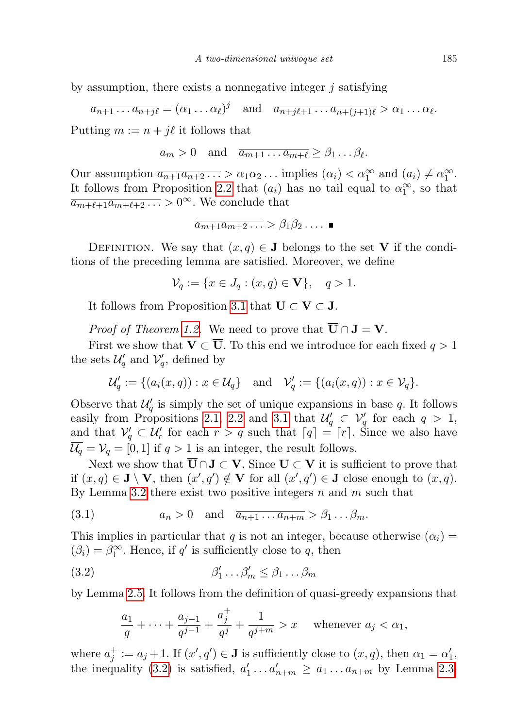by assumption, there exists a nonnegative integer  $j$  satisfying

$$
\overline{a_{n+1} \dots a_{n+j\ell}} = (\alpha_1 \dots \alpha_\ell)^j \quad \text{and} \quad \overline{a_{n+j\ell+1} \dots a_{n+(j+1)\ell}} > \alpha_1 \dots \alpha_\ell.
$$

Putting  $m := n + j\ell$  it follows that

$$
a_m > 0
$$
 and  $\overline{a_{m+1} \dots a_{m+\ell}} \geq \beta_1 \dots \beta_\ell$ .

Our assumption  $\overline{a_{n+1}a_{n+2}\ldots} > \alpha_1\alpha_2\ldots$  implies  $(\alpha_i) < \alpha_1^{\infty}$  and  $(a_i) \neq \alpha_1^{\infty}$ . It follows from Proposition [2.2](#page-2-2) that  $(a_i)$  has no tail equal to  $\alpha_1^{\infty}$ , so that  $\overline{a_{m+\ell+1}a_{m+\ell+2} \ldots} > 0^{\infty}$ . We conclude that

$$
\overline{a_{m+1}a_{m+2}\ldots} > \beta_1\beta_2\ldots.
$$

DEFINITION. We say that  $(x, q) \in J$  belongs to the set V if the conditions of the preceding lemma are satisfied. Moreover, we define

 $\mathcal{V}_q := \{x \in J_q : (x, q) \in \mathbf{V}\}, \quad q > 1.$ 

It follows from Proposition [3.1](#page-9-2) that  $\mathbf{U} \subset \mathbf{V} \subset \mathbf{J}$ .

*Proof of Theorem [1.2.](#page-1-2)* We need to prove that  $\overline{U} \cap J = V$ .

First we show that  $\mathbf{V} \subset \overline{\mathbf{U}}$ . To this end we introduce for each fixed  $q > 1$ the sets  $\mathcal{U}'_q$  and  $\mathcal{V}'_q$ , defined by

$$
\mathcal{U}'_q := \{ (a_i(x, q)) : x \in \mathcal{U}_q \} \text{ and } \mathcal{V}'_q := \{ (a_i(x, q)) : x \in \mathcal{V}_q \}.
$$

Observe that  $\mathcal{U}'_q$  is simply the set of unique expansions in base q. It follows easily from Propositions [2.1,](#page-2-1) [2.2](#page-2-2) and [3.1](#page-9-2) that  $\mathcal{U}_q' \subset \mathcal{V}_q'$  for each  $q > 1$ , and that  $\mathcal{V}'_q \subset \mathcal{U}'_r$  for each  $r > q$  such that  $\lceil q \rceil = \lceil r \rceil$ . Since we also have  $\overline{\mathcal{U}_q} = \mathcal{V}_q = [0, 1]$  if  $q > 1$  is an integer, the result follows.

Next we show that  $\overline{U} \cap J \subset V$ . Since  $U \subset V$  it is sufficient to prove that if  $(x, q) \in \mathbf{J} \setminus \mathbf{V}$ , then  $(x', q') \notin \mathbf{V}$  for all  $(x', q') \in \mathbf{J}$  close enough to  $(x, q)$ . By Lemma [3.2](#page-9-3) there exist two positive integers  $n$  and  $m$  such that

<span id="page-10-1"></span>
$$
(3.1) \t\t a_n > 0 \quad \text{and} \quad \overline{a_{n+1} \dots a_{n+m}} > \beta_1 \dots \beta_m.
$$

This implies in particular that q is not an integer, because otherwise  $(\alpha_i)$  =  $(\beta_i) = \beta_1^{\infty}$ . Hence, if q' is sufficiently close to q, then

$$
\beta'_1 \dots \beta'_m \le \beta_1 \dots \beta_m
$$

by Lemma [2.5.](#page-4-1) It follows from the definition of quasi-greedy expansions that

<span id="page-10-0"></span>
$$
\frac{a_1}{q}+\cdots+\frac{a_{j-1}}{q^{j-1}}+\frac{a_j^+}{q^j}+\frac{1}{q^{j+m}}>x \quad \text{ whenever } a_j<\alpha_1,
$$

where  $a_j^+ := a_j + 1$ . If  $(x', q') \in \mathbf{J}$  is sufficiently close to  $(x, q)$ , then  $\alpha_1 = \alpha'_1$ , the inequality [\(3.2\)](#page-10-0) is satisfied,  $a'_1 \ldots a'_{n+m} \ge a_1 \ldots a_{n+m}$  by Lemma [2.3,](#page-3-1)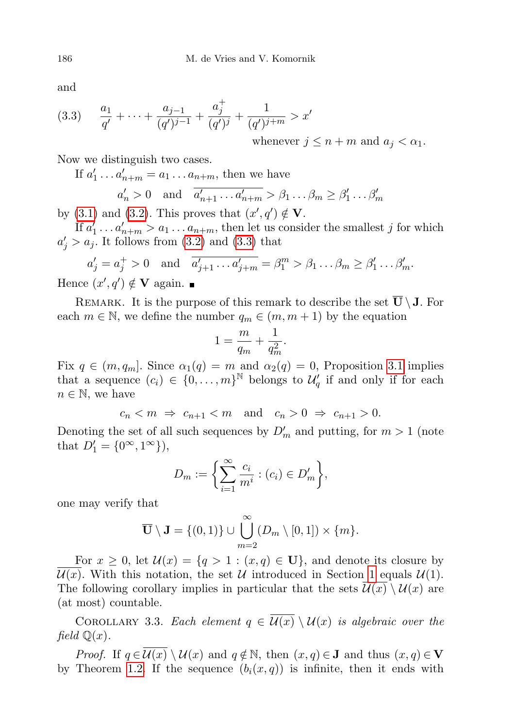and

<span id="page-11-0"></span>(3.3) 
$$
\frac{a_1}{q'} + \dots + \frac{a_{j-1}}{(q')^{j-1}} + \frac{a_j^+}{(q')^j} + \frac{1}{(q')^{j+m}} > x'
$$
  
whenever  $j \le n + m$  and  $a_j < \alpha_1$ .

Now we distinguish two cases.

If  $a'_1 \ldots a'_{n+m} = a_1 \ldots a_{n+m}$ , then we have

$$
a'_n > 0
$$
 and  $\overline{a'_{n+1} \dots a'_{n+m}} > \beta_1 \dots \beta_m \ge \beta'_1 \dots \beta'_m$ 

by [\(3.1\)](#page-10-1) and [\(3.2\)](#page-10-0). This proves that  $(x', q') \notin V$ . If  $a'_1 \ldots a'_{n+m} > a_1 \ldots a_{n+m}$ , then let us consider the smallest j for which

 $a'_j > a_j$ . It follows from [\(3.2\)](#page-10-0) and [\(3.3\)](#page-11-0) that

$$
a'_j = a^+_j > 0
$$
 and  $\overline{a'_{j+1} \dots a'_{j+m}} = \beta^m_1 > \beta_1 \dots \beta_m \ge \beta'_1 \dots \beta'_m$ .

Hence  $(x', q') \notin V$  again.

REMARK. It is the purpose of this remark to describe the set  $\overline{U} \setminus J$ . For each  $m \in \mathbb{N}$ , we define the number  $q_m \in (m, m + 1)$  by the equation

$$
1 = \frac{m}{q_m} + \frac{1}{q_m^2}.
$$

Fix  $q \in (m, q_m]$ . Since  $\alpha_1(q) = m$  and  $\alpha_2(q) = 0$ , Proposition [3.1](#page-9-2) implies that a sequence  $(c_i) \in \{0, \ldots, m\}^{\mathbb{N}}$  belongs to  $\mathcal{U}_q'$  if and only if for each  $n \in \mathbb{N}$ , we have

 $c_n < m \Rightarrow c_{n+1} < m$  and  $c_n > 0 \Rightarrow c_{n+1} > 0$ .

Denoting the set of all such sequences by  $D'_m$  and putting, for  $m > 1$  (note that  $D'_1 = \{0^{\infty}, 1^{\infty}\}\)$ ,

$$
D_m := \left\{ \sum_{i=1}^{\infty} \frac{c_i}{m^i} : (c_i) \in D'_m \right\},\
$$

one may verify that

$$
\overline{\mathbf{U}}\setminus\mathbf{J}=\{(0,1)\}\cup\bigcup_{m=2}^{\infty}(D_m\setminus[0,1])\times\{m\}.
$$

For  $x \geq 0$ , let  $\mathcal{U}(x) = \{q > 1 : (x, q) \in \mathbf{U}\}\)$ , and denote its closure by  $\mathcal{U}(x)$ . With this notation, the set U introduced in Section [1](#page-0-1) equals  $\mathcal{U}(1)$ . The following corollary implies in particular that the sets  $\mathcal{U}(x) \setminus \mathcal{U}(x)$  are (at most) countable.

COROLLARY 3.3. Each element  $q \in \overline{\mathcal{U}(x)} \setminus \mathcal{U}(x)$  is algebraic over the field  $\mathbb{Q}(x)$ .

*Proof.* If  $q \in \overline{\mathcal{U}(x)} \setminus \mathcal{U}(x)$  and  $q \notin \mathbb{N}$ , then  $(x, q) \in \mathbf{J}$  and thus  $(x, q) \in \mathbf{V}$ by Theorem [1.2.](#page-1-2) If the sequence  $(b_i(x, q))$  is infinite, then it ends with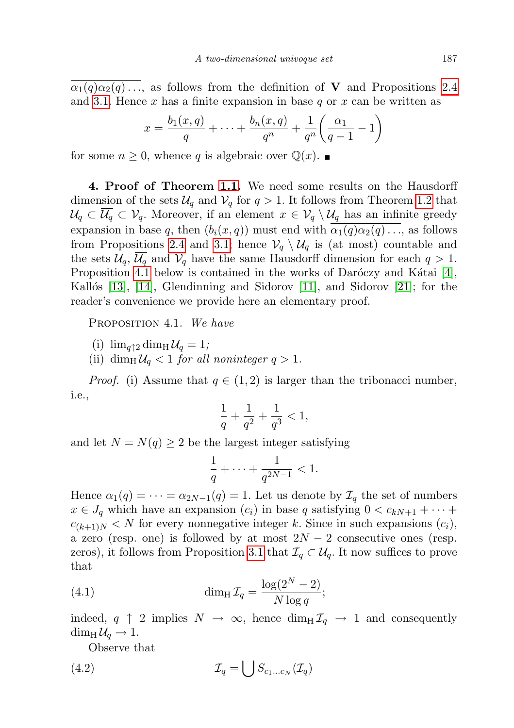$\alpha_1(q)\alpha_2(q)\ldots$ , as follows from the definition of **V** and Propositions [2.4](#page-3-2) and [3.1.](#page-9-2) Hence x has a finite expansion in base  $q$  or x can be written as

$$
x = \frac{b_1(x,q)}{q} + \dots + \frac{b_n(x,q)}{q^n} + \frac{1}{q^n} \left( \frac{\alpha_1}{q-1} - 1 \right)
$$

for some  $n \geq 0$ , whence q is algebraic over  $\mathbb{Q}(x)$ .

<span id="page-12-0"></span>4. Proof of Theorem [1.1.](#page-1-1) We need some results on the Hausdorff dimension of the sets  $\mathcal{U}_q$  and  $\mathcal{V}_q$  for  $q > 1$ . It follows from Theorem [1.2](#page-1-2) that  $\mathcal{U}_q \subset \overline{\mathcal{U}_q} \subset \mathcal{V}_q$ . Moreover, if an element  $x \in \mathcal{V}_q \setminus \mathcal{U}_q$  has an infinite greedy expansion in base q, then  $(b_i(x, q))$  must end with  $\alpha_1(q)\alpha_2(q) \ldots$ , as follows from Propositions [2.4](#page-3-2) and [3.1;](#page-9-2) hence  $\mathcal{V}_q \setminus \mathcal{U}_q$  is (at most) countable and the sets  $\mathcal{U}_q$ ,  $\overline{\mathcal{U}_q}$  and  $\mathcal{V}_q$  have the same Hausdorff dimension for each  $q > 1$ . Proposition [4.1](#page-12-1) below is contained in the works of Daróczy and Kátai  $[4]$ , Kallós [\[13\]](#page-14-10), [\[14\]](#page-14-11), Glendinning and Sidorov [\[11\]](#page-14-9), and Sidorov [\[21\]](#page-14-14); for the reader's convenience we provide here an elementary proof.

<span id="page-12-1"></span>PROPOSITION 4.1. We have

- (i)  $\lim_{q \uparrow 2} \dim_{\rm H} \mathcal{U}_q = 1;$
- (ii) dim<sub>H</sub> $U_q < 1$  for all noninteger  $q > 1$ .

*Proof.* (i) Assume that  $q \in (1, 2)$  is larger than the tribonacci number, i.e.,

$$
\frac{1}{q} + \frac{1}{q^2} + \frac{1}{q^3} < 1,
$$

and let  $N = N(q) \geq 2$  be the largest integer satisfying

<span id="page-12-3"></span>
$$
\frac{1}{q} + \dots + \frac{1}{q^{2N-1}} < 1.
$$

Hence  $\alpha_1(q) = \cdots = \alpha_{2N-1}(q) = 1$ . Let us denote by  $\mathcal{I}_q$  the set of numbers  $x \in J_q$  which have an expansion  $(c_i)$  in base q satisfying  $0 < c_{kN+1} + \cdots$  $c_{(k+1)N} < N$  for every nonnegative integer k. Since in such expansions  $(c_i)$ , a zero (resp. one) is followed by at most  $2N-2$  consecutive ones (resp. zeros), it follows from Proposition [3.1](#page-9-2) that  $\mathcal{I}_q \subset \mathcal{U}_q$ . It now suffices to prove that

(4.1) 
$$
\dim_{\mathrm{H}} \mathcal{I}_q = \frac{\log(2^N - 2)}{N \log q};
$$

indeed,  $q \uparrow 2$  implies  $N \to \infty$ , hence  $\dim_{\text{H}} \mathcal{I}_q \to 1$  and consequently  $\dim_{\mathrm{H}} \mathcal{U}_q \to 1.$ 

<span id="page-12-2"></span>Observe that

$$
(4.2) \t\t \mathcal{I}_q = \bigcup S_{c_1...c_N}(\mathcal{I}_q)
$$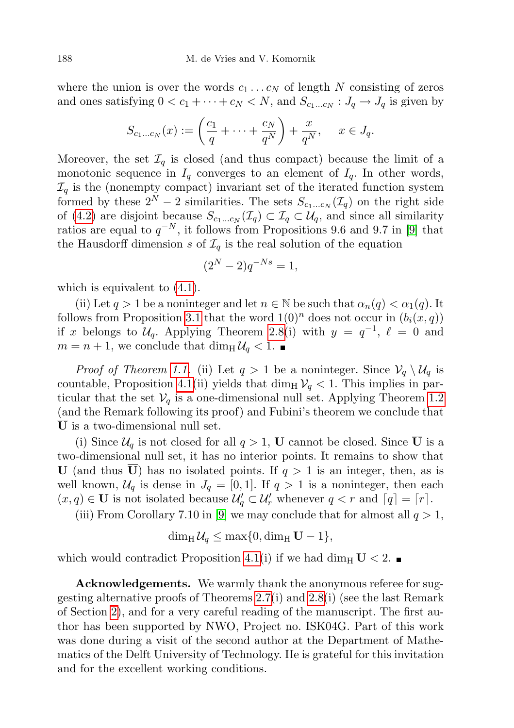where the union is over the words  $c_1 \ldots c_N$  of length N consisting of zeros and ones satisfying  $0 < c_1 + \cdots + c_N < N$ , and  $S_{c_1...c_N} : J_q \to J_q$  is given by

$$
S_{c_1...c_N}(x) := \left(\frac{c_1}{q} + \dots + \frac{c_N}{q^N}\right) + \frac{x}{q^N}, \quad x \in J_q.
$$

Moreover, the set  $\mathcal{I}_q$  is closed (and thus compact) because the limit of a monotonic sequence in  $I_q$  converges to an element of  $I_q$ . In other words,  $\mathcal{I}_q$  is the (nonempty compact) invariant set of the iterated function system formed by these  $2^N - 2$  similarities. The sets  $S_{c_1...c_N}(\mathcal{I}_q)$  on the right side of [\(4.2\)](#page-12-2) are disjoint because  $S_{c_1...c_N}(\mathcal{I}_q) \subset \mathcal{I}_q \subset \mathcal{U}_q$ , and since all similarity ratios are equal to  $q^{-N}$ , it follows from Propositions 9.6 and 9.7 in [\[9\]](#page-14-18) that the Hausdorff dimension s of  $\mathcal{I}_q$  is the real solution of the equation

$$
(2^N - 2)q^{-Ns} = 1,
$$

which is equivalent to  $(4.1)$ .

(ii) Let  $q > 1$  be a noninteger and let  $n \in \mathbb{N}$  be such that  $\alpha_n(q) < \alpha_1(q)$ . It follows from Proposition [3.1](#page-9-2) that the word  $1(0)^n$  does not occur in  $(b_i(x, q))$ if x belongs to  $\mathcal{U}_q$ . Applying Theorem [2.8\(](#page-6-0)i) with  $y = q^{-1}$ ,  $\ell = 0$  and  $m = n + 1$ , we conclude that  $\dim_{\mathrm{H}} \mathcal{U}_q < 1$ .

*Proof of Theorem [1.1.](#page-1-1)* (ii) Let  $q > 1$  be a noninteger. Since  $\mathcal{V}_q \setminus \mathcal{U}_q$  is countable, Proposition [4.1\(](#page-12-1)ii) yields that dim<sub>H</sub>  $V_q$  < 1. This implies in particular that the set  $V_q$  is a one-dimensional null set. Applying Theorem [1.2](#page-1-2) (and the Remark following its proof) and Fubini's theorem we conclude that U is a two-dimensional null set.

(i) Since  $\mathcal{U}_q$  is not closed for all  $q > 1$ , **U** cannot be closed. Since  $\overline{U}$  is a two-dimensional null set, it has no interior points. It remains to show that U (and thus U) has no isolated points. If  $q > 1$  is an integer, then, as is well known,  $\mathcal{U}_q$  is dense in  $J_q = [0, 1]$ . If  $q > 1$  is a noninteger, then each  $(x, q) \in U$  is not isolated because  $\mathcal{U}'_q \subset \mathcal{U}'_r$  whenever  $q < r$  and  $\lceil q \rceil = \lceil r \rceil$ .

(iii) From Corollary 7.10 in [\[9\]](#page-14-18) we may conclude that for almost all  $q > 1$ ,

 $\dim_{\mathrm{H}} \mathcal{U}_a \leq \max\{0, \dim_{\mathrm{H}} \mathbf{U} - 1\},\$ 

which would contradict Proposition [4.1\(](#page-12-1)i) if we had dim<sub>H</sub>  $U < 2$ .

Acknowledgements. We warmly thank the anonymous referee for suggesting alternative proofs of Theorems [2.7\(](#page-5-0)i) and [2.8\(](#page-6-0)i) (see the last Remark of Section [2\)](#page-2-0), and for a very careful reading of the manuscript. The first author has been supported by NWO, Project no. ISK04G. Part of this work was done during a visit of the second author at the Department of Mathematics of the Delft University of Technology. He is grateful for this invitation and for the excellent working conditions.